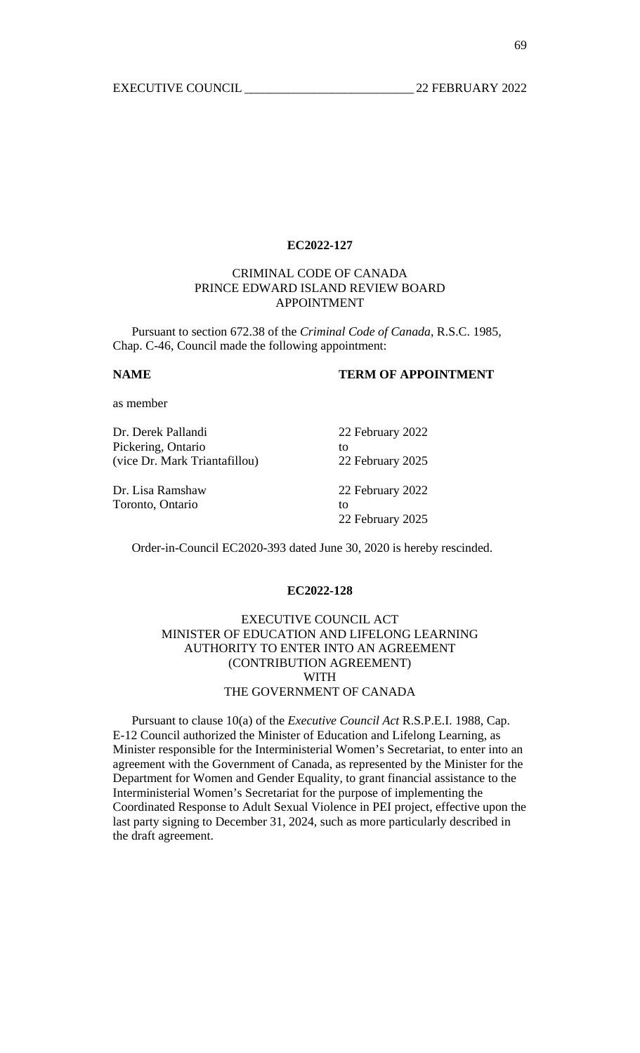# CRIMINAL CODE OF CANADA PRINCE EDWARD ISLAND REVIEW BOARD APPOINTMENT

 Pursuant to section 672.38 of the *Criminal Code of Canada*, R.S.C. 1985, Chap. C-46, Council made the following appointment:

## **NAME TERM OF APPOINTMENT**

as member

| Dr. Derek Pallandi            | 22 February 2022 |
|-------------------------------|------------------|
| Pickering, Ontario            | tΩ               |
| (vice Dr. Mark Triantafillou) | 22 February 2025 |
| Dr. Lisa Ramshaw              | 22 February 2022 |
| Toronto, Ontario              | tΩ               |
|                               | 22 February 2025 |

Order-in-Council EC2020-393 dated June 30, 2020 is hereby rescinded.

#### **EC2022-128**

EXECUTIVE COUNCIL ACT MINISTER OF EDUCATION AND LIFELONG LEARNING AUTHORITY TO ENTER INTO AN AGREEMENT (CONTRIBUTION AGREEMENT) WITH THE GOVERNMENT OF CANADA

 Pursuant to clause 10(a) of the *Executive Council Act* R.S.P.E.I. 1988, Cap. E-12 Council authorized the Minister of Education and Lifelong Learning, as Minister responsible for the Interministerial Women's Secretariat, to enter into an agreement with the Government of Canada, as represented by the Minister for the Department for Women and Gender Equality, to grant financial assistance to the Interministerial Women's Secretariat for the purpose of implementing the Coordinated Response to Adult Sexual Violence in PEI project, effective upon the last party signing to December 31, 2024, such as more particularly described in the draft agreement.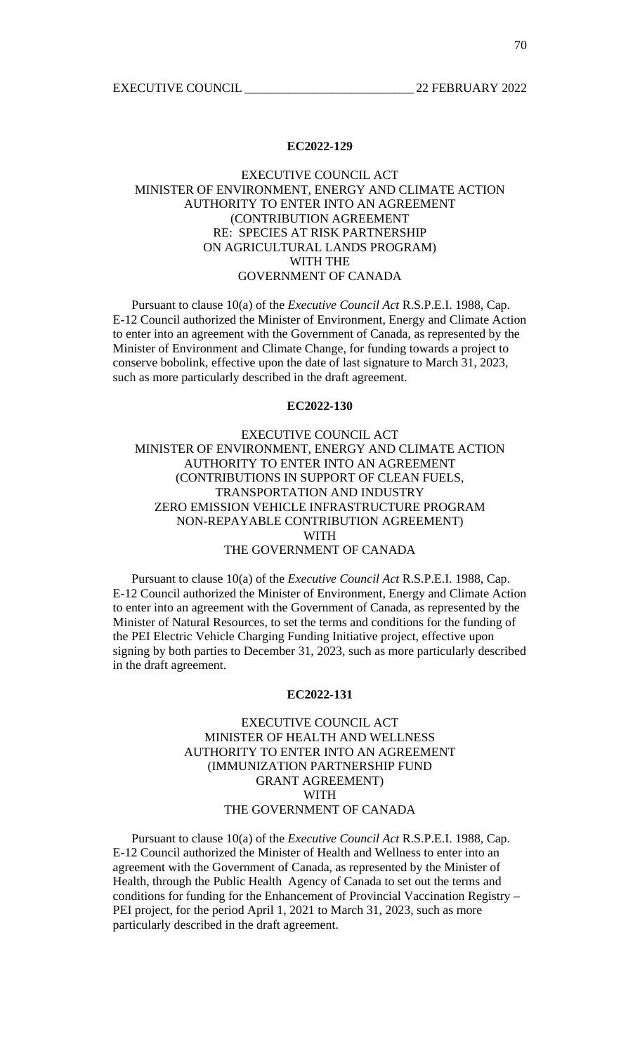## EXECUTIVE COUNCIL ACT MINISTER OF ENVIRONMENT, ENERGY AND CLIMATE ACTION AUTHORITY TO ENTER INTO AN AGREEMENT (CONTRIBUTION AGREEMENT RE: SPECIES AT RISK PARTNERSHIP ON AGRICULTURAL LANDS PROGRAM) WITH THE GOVERNMENT OF CANADA

 Pursuant to clause 10(a) of the *Executive Council Act* R.S.P.E.I. 1988, Cap. E-12 Council authorized the Minister of Environment, Energy and Climate Action to enter into an agreement with the Government of Canada, as represented by the Minister of Environment and Climate Change, for funding towards a project to conserve bobolink, effective upon the date of last signature to March 31, 2023, such as more particularly described in the draft agreement.

#### **EC2022-130**

## EXECUTIVE COUNCIL ACT MINISTER OF ENVIRONMENT, ENERGY AND CLIMATE ACTION AUTHORITY TO ENTER INTO AN AGREEMENT (CONTRIBUTIONS IN SUPPORT OF CLEAN FUELS, TRANSPORTATION AND INDUSTRY ZERO EMISSION VEHICLE INFRASTRUCTURE PROGRAM NON-REPAYABLE CONTRIBUTION AGREEMENT) WITH THE GOVERNMENT OF CANADA

 Pursuant to clause 10(a) of the *Executive Council Act* R.S.P.E.I. 1988, Cap. E-12 Council authorized the Minister of Environment, Energy and Climate Action to enter into an agreement with the Government of Canada, as represented by the Minister of Natural Resources, to set the terms and conditions for the funding of the PEI Electric Vehicle Charging Funding Initiative project, effective upon signing by both parties to December 31, 2023, such as more particularly described in the draft agreement.

#### **EC2022-131**

# EXECUTIVE COUNCIL ACT MINISTER OF HEALTH AND WELLNESS AUTHORITY TO ENTER INTO AN AGREEMENT (IMMUNIZATION PARTNERSHIP FUND GRANT AGREEMENT) WITH THE GOVERNMENT OF CANADA

 Pursuant to clause 10(a) of the *Executive Council Act* R.S.P.E.I. 1988, Cap. E-12 Council authorized the Minister of Health and Wellness to enter into an agreement with the Government of Canada, as represented by the Minister of Health, through the Public Health Agency of Canada to set out the terms and conditions for funding for the Enhancement of Provincial Vaccination Registry – PEI project, for the period April 1, 2021 to March 31, 2023, such as more particularly described in the draft agreement.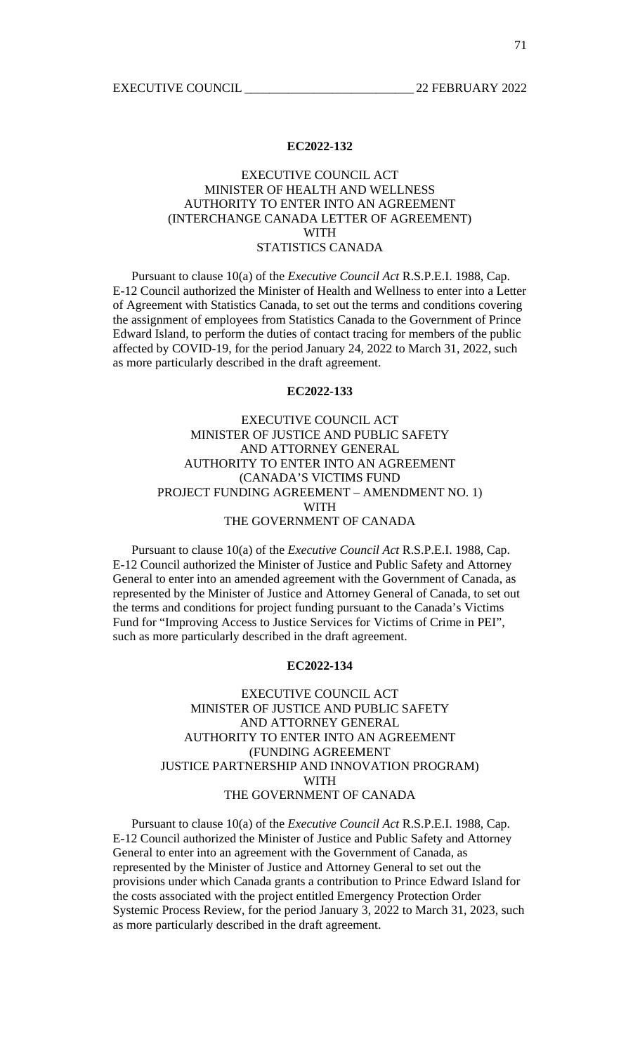#### EXECUTIVE COUNCIL ACT MINISTER OF HEALTH AND WELLNESS AUTHORITY TO ENTER INTO AN AGREEMENT (INTERCHANGE CANADA LETTER OF AGREEMENT) WITH STATISTICS CANADA

 Pursuant to clause 10(a) of the *Executive Council Act* R.S.P.E.I. 1988, Cap. E-12 Council authorized the Minister of Health and Wellness to enter into a Letter of Agreement with Statistics Canada, to set out the terms and conditions covering the assignment of employees from Statistics Canada to the Government of Prince Edward Island, to perform the duties of contact tracing for members of the public affected by COVID-19, for the period January 24, 2022 to March 31, 2022, such as more particularly described in the draft agreement.

#### **EC2022-133**

## EXECUTIVE COUNCIL ACT MINISTER OF JUSTICE AND PUBLIC SAFETY AND ATTORNEY GENERAL AUTHORITY TO ENTER INTO AN AGREEMENT (CANADA'S VICTIMS FUND PROJECT FUNDING AGREEMENT – AMENDMENT NO. 1) WITH THE GOVERNMENT OF CANADA

 Pursuant to clause 10(a) of the *Executive Council Act* R.S.P.E.I. 1988, Cap. E-12 Council authorized the Minister of Justice and Public Safety and Attorney General to enter into an amended agreement with the Government of Canada, as represented by the Minister of Justice and Attorney General of Canada, to set out the terms and conditions for project funding pursuant to the Canada's Victims Fund for "Improving Access to Justice Services for Victims of Crime in PEI", such as more particularly described in the draft agreement.

#### **EC2022-134**

# EXECUTIVE COUNCIL ACT MINISTER OF JUSTICE AND PUBLIC SAFETY AND ATTORNEY GENERAL AUTHORITY TO ENTER INTO AN AGREEMENT (FUNDING AGREEMENT JUSTICE PARTNERSHIP AND INNOVATION PROGRAM) WITH THE GOVERNMENT OF CANADA

 Pursuant to clause 10(a) of the *Executive Council Act* R.S.P.E.I. 1988, Cap. E-12 Council authorized the Minister of Justice and Public Safety and Attorney General to enter into an agreement with the Government of Canada, as represented by the Minister of Justice and Attorney General to set out the provisions under which Canada grants a contribution to Prince Edward Island for the costs associated with the project entitled Emergency Protection Order Systemic Process Review, for the period January 3, 2022 to March 31, 2023, such as more particularly described in the draft agreement.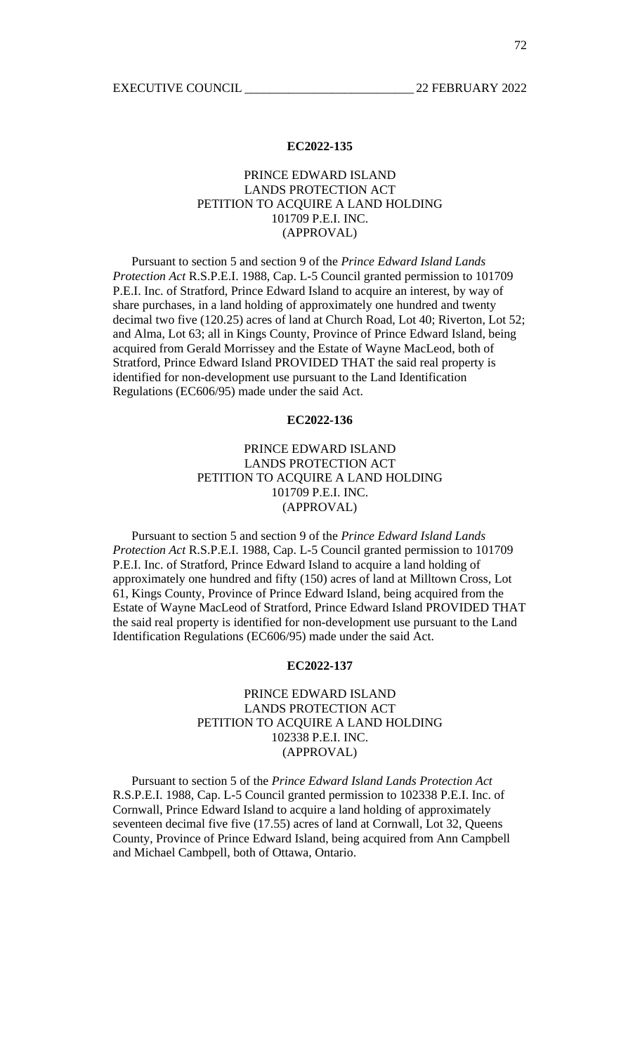### PRINCE EDWARD ISLAND LANDS PROTECTION ACT PETITION TO ACQUIRE A LAND HOLDING 101709 P.E.I. INC. (APPROVAL)

 Pursuant to section 5 and section 9 of the *Prince Edward Island Lands Protection Act* R.S.P.E.I. 1988, Cap. L-5 Council granted permission to 101709 P.E.I. Inc. of Stratford, Prince Edward Island to acquire an interest, by way of share purchases, in a land holding of approximately one hundred and twenty decimal two five (120.25) acres of land at Church Road, Lot 40; Riverton, Lot 52; and Alma, Lot 63; all in Kings County, Province of Prince Edward Island, being acquired from Gerald Morrissey and the Estate of Wayne MacLeod, both of Stratford, Prince Edward Island PROVIDED THAT the said real property is identified for non-development use pursuant to the Land Identification Regulations (EC606/95) made under the said Act.

#### **EC2022-136**

# PRINCE EDWARD ISLAND LANDS PROTECTION ACT PETITION TO ACQUIRE A LAND HOLDING 101709 P.E.I. INC. (APPROVAL)

 Pursuant to section 5 and section 9 of the *Prince Edward Island Lands Protection Act* R.S.P.E.I. 1988, Cap. L-5 Council granted permission to 101709 P.E.I. Inc. of Stratford, Prince Edward Island to acquire a land holding of approximately one hundred and fifty (150) acres of land at Milltown Cross, Lot 61, Kings County, Province of Prince Edward Island, being acquired from the Estate of Wayne MacLeod of Stratford, Prince Edward Island PROVIDED THAT the said real property is identified for non-development use pursuant to the Land Identification Regulations (EC606/95) made under the said Act.

#### **EC2022-137**

# PRINCE EDWARD ISLAND LANDS PROTECTION ACT PETITION TO ACQUIRE A LAND HOLDING 102338 P.E.I. INC. (APPROVAL)

 Pursuant to section 5 of the *Prince Edward Island Lands Protection Act* R.S.P.E.I. 1988, Cap. L-5 Council granted permission to 102338 P.E.I. Inc. of Cornwall, Prince Edward Island to acquire a land holding of approximately seventeen decimal five five (17.55) acres of land at Cornwall, Lot 32, Queens County, Province of Prince Edward Island, being acquired from Ann Campbell and Michael Cambpell, both of Ottawa, Ontario.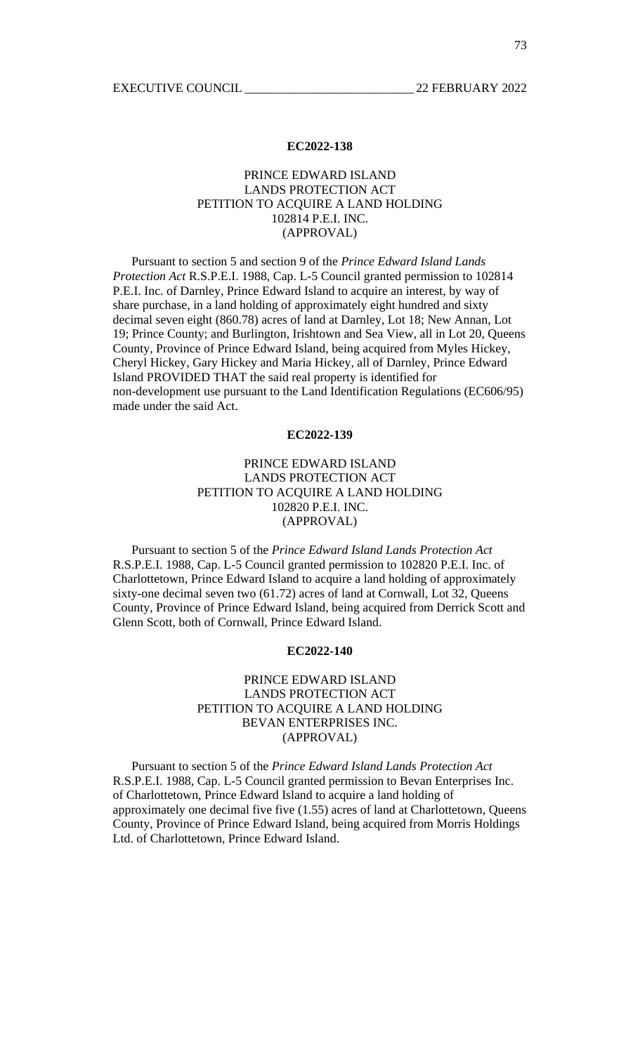## PRINCE EDWARD ISLAND LANDS PROTECTION ACT PETITION TO ACQUIRE A LAND HOLDING 102814 P.E.I. INC. (APPROVAL)

 Pursuant to section 5 and section 9 of the *Prince Edward Island Lands Protection Act* R.S.P.E.I. 1988, Cap. L-5 Council granted permission to 102814 P.E.I. Inc. of Darnley, Prince Edward Island to acquire an interest, by way of share purchase, in a land holding of approximately eight hundred and sixty decimal seven eight (860.78) acres of land at Darnley, Lot 18; New Annan, Lot 19; Prince County; and Burlington, Irishtown and Sea View, all in Lot 20, Queens County, Province of Prince Edward Island, being acquired from Myles Hickey, Cheryl Hickey, Gary Hickey and Maria Hickey, all of Darnley, Prince Edward Island PROVIDED THAT the said real property is identified for non-development use pursuant to the Land Identification Regulations (EC606/95) made under the said Act.

#### **EC2022-139**

# PRINCE EDWARD ISLAND LANDS PROTECTION ACT PETITION TO ACQUIRE A LAND HOLDING 102820 P.E.I. INC. (APPROVAL)

 Pursuant to section 5 of the *Prince Edward Island Lands Protection Act* R.S.P.E.I. 1988, Cap. L-5 Council granted permission to 102820 P.E.I. Inc. of Charlottetown, Prince Edward Island to acquire a land holding of approximately sixty-one decimal seven two (61.72) acres of land at Cornwall, Lot 32, Queens County, Province of Prince Edward Island, being acquired from Derrick Scott and Glenn Scott, both of Cornwall, Prince Edward Island.

#### **EC2022-140**

# PRINCE EDWARD ISLAND LANDS PROTECTION ACT PETITION TO ACQUIRE A LAND HOLDING BEVAN ENTERPRISES INC. (APPROVAL)

 Pursuant to section 5 of the *Prince Edward Island Lands Protection Act* R.S.P.E.I. 1988, Cap. L-5 Council granted permission to Bevan Enterprises Inc. of Charlottetown, Prince Edward Island to acquire a land holding of approximately one decimal five five (1.55) acres of land at Charlottetown, Queens County, Province of Prince Edward Island, being acquired from Morris Holdings Ltd. of Charlottetown, Prince Edward Island.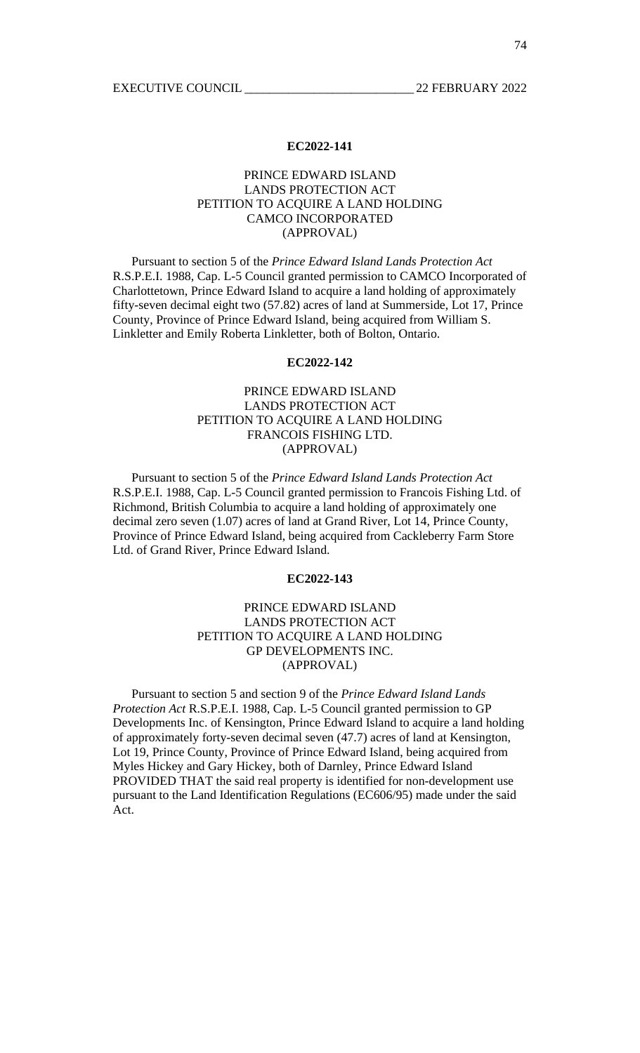## PRINCE EDWARD ISLAND LANDS PROTECTION ACT PETITION TO ACQUIRE A LAND HOLDING CAMCO INCORPORATED (APPROVAL)

 Pursuant to section 5 of the *Prince Edward Island Lands Protection Act* R.S.P.E.I. 1988, Cap. L-5 Council granted permission to CAMCO Incorporated of Charlottetown, Prince Edward Island to acquire a land holding of approximately fifty-seven decimal eight two (57.82) acres of land at Summerside, Lot 17, Prince County, Province of Prince Edward Island, being acquired from William S. Linkletter and Emily Roberta Linkletter, both of Bolton, Ontario.

#### **EC2022-142**

# PRINCE EDWARD ISLAND LANDS PROTECTION ACT PETITION TO ACQUIRE A LAND HOLDING FRANCOIS FISHING LTD. (APPROVAL)

 Pursuant to section 5 of the *Prince Edward Island Lands Protection Act* R.S.P.E.I. 1988, Cap. L-5 Council granted permission to Francois Fishing Ltd. of Richmond, British Columbia to acquire a land holding of approximately one decimal zero seven (1.07) acres of land at Grand River, Lot 14, Prince County, Province of Prince Edward Island, being acquired from Cackleberry Farm Store Ltd. of Grand River, Prince Edward Island.

#### **EC2022-143**

# PRINCE EDWARD ISLAND LANDS PROTECTION ACT PETITION TO ACQUIRE A LAND HOLDING GP DEVELOPMENTS INC. (APPROVAL)

 Pursuant to section 5 and section 9 of the *Prince Edward Island Lands Protection Act* R.S.P.E.I. 1988, Cap. L-5 Council granted permission to GP Developments Inc. of Kensington, Prince Edward Island to acquire a land holding of approximately forty-seven decimal seven (47.7) acres of land at Kensington, Lot 19, Prince County, Province of Prince Edward Island, being acquired from Myles Hickey and Gary Hickey, both of Darnley, Prince Edward Island PROVIDED THAT the said real property is identified for non-development use pursuant to the Land Identification Regulations (EC606/95) made under the said Act.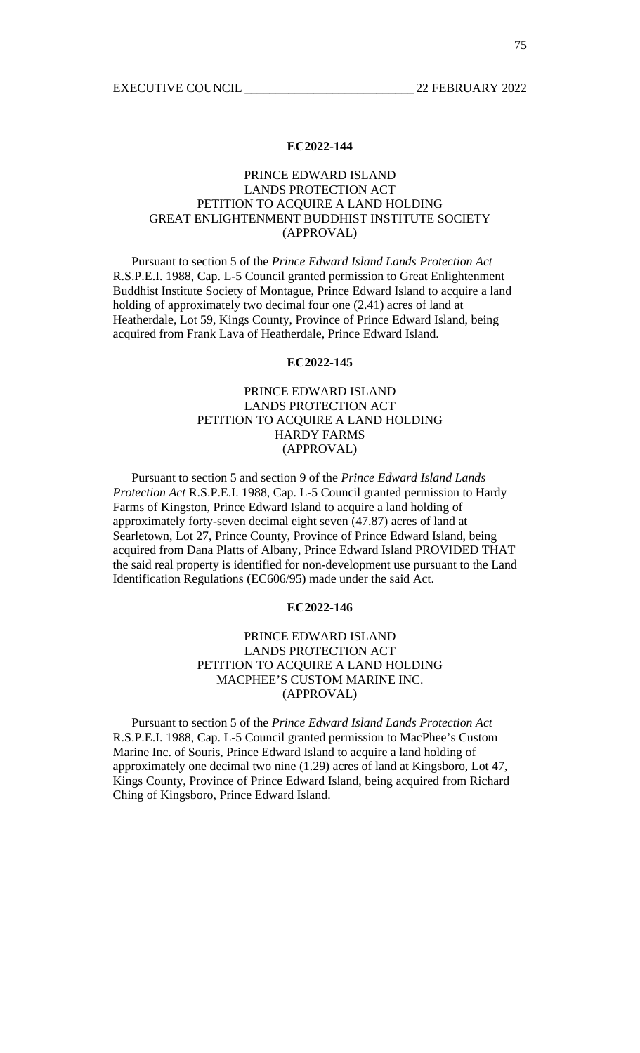## PRINCE EDWARD ISLAND LANDS PROTECTION ACT PETITION TO ACQUIRE A LAND HOLDING GREAT ENLIGHTENMENT BUDDHIST INSTITUTE SOCIETY (APPROVAL)

 Pursuant to section 5 of the *Prince Edward Island Lands Protection Act* R.S.P.E.I. 1988, Cap. L-5 Council granted permission to Great Enlightenment Buddhist Institute Society of Montague, Prince Edward Island to acquire a land holding of approximately two decimal four one (2.41) acres of land at Heatherdale, Lot 59, Kings County, Province of Prince Edward Island, being acquired from Frank Lava of Heatherdale, Prince Edward Island.

#### **EC2022-145**

# PRINCE EDWARD ISLAND LANDS PROTECTION ACT PETITION TO ACQUIRE A LAND HOLDING HARDY FARMS (APPROVAL)

 Pursuant to section 5 and section 9 of the *Prince Edward Island Lands Protection Act* R.S.P.E.I. 1988, Cap. L-5 Council granted permission to Hardy Farms of Kingston, Prince Edward Island to acquire a land holding of approximately forty-seven decimal eight seven (47.87) acres of land at Searletown, Lot 27, Prince County, Province of Prince Edward Island, being acquired from Dana Platts of Albany, Prince Edward Island PROVIDED THAT the said real property is identified for non-development use pursuant to the Land Identification Regulations (EC606/95) made under the said Act.

#### **EC2022-146**

# PRINCE EDWARD ISLAND LANDS PROTECTION ACT PETITION TO ACQUIRE A LAND HOLDING MACPHEE'S CUSTOM MARINE INC. (APPROVAL)

 Pursuant to section 5 of the *Prince Edward Island Lands Protection Act* R.S.P.E.I. 1988, Cap. L-5 Council granted permission to MacPhee's Custom Marine Inc. of Souris, Prince Edward Island to acquire a land holding of approximately one decimal two nine (1.29) acres of land at Kingsboro, Lot 47, Kings County, Province of Prince Edward Island, being acquired from Richard Ching of Kingsboro, Prince Edward Island.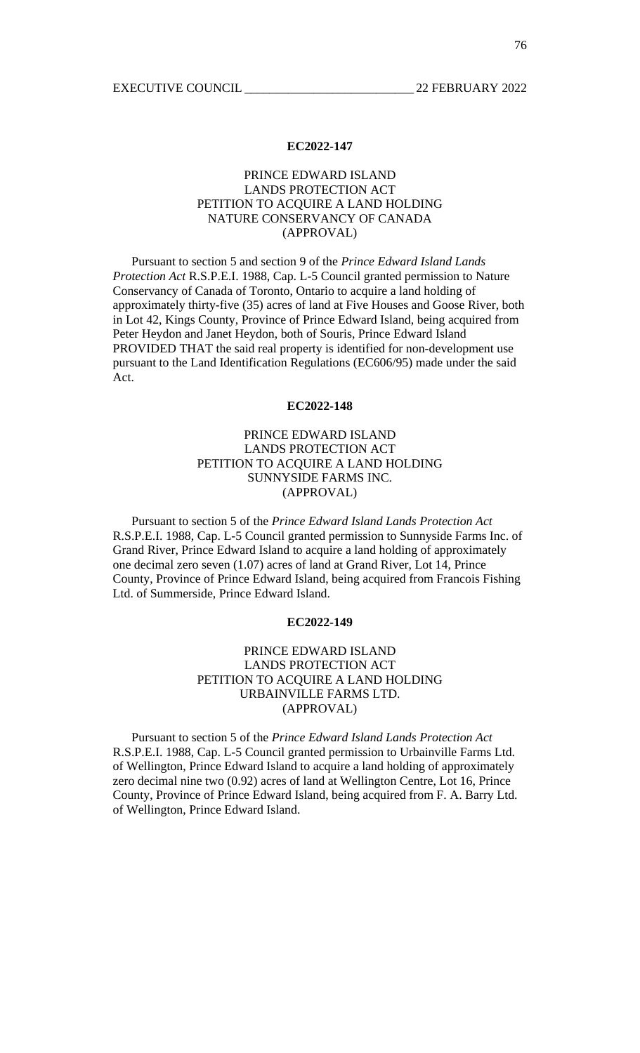## PRINCE EDWARD ISLAND LANDS PROTECTION ACT PETITION TO ACQUIRE A LAND HOLDING NATURE CONSERVANCY OF CANADA (APPROVAL)

 Pursuant to section 5 and section 9 of the *Prince Edward Island Lands Protection Act* R.S.P.E.I. 1988, Cap. L-5 Council granted permission to Nature Conservancy of Canada of Toronto, Ontario to acquire a land holding of approximately thirty-five (35) acres of land at Five Houses and Goose River, both in Lot 42, Kings County, Province of Prince Edward Island, being acquired from Peter Heydon and Janet Heydon, both of Souris, Prince Edward Island PROVIDED THAT the said real property is identified for non-development use pursuant to the Land Identification Regulations (EC606/95) made under the said Act.

#### **EC2022-148**

# PRINCE EDWARD ISLAND LANDS PROTECTION ACT PETITION TO ACQUIRE A LAND HOLDING SUNNYSIDE FARMS INC. (APPROVAL)

 Pursuant to section 5 of the *Prince Edward Island Lands Protection Act* R.S.P.E.I. 1988, Cap. L-5 Council granted permission to Sunnyside Farms Inc. of Grand River, Prince Edward Island to acquire a land holding of approximately one decimal zero seven (1.07) acres of land at Grand River, Lot 14, Prince County, Province of Prince Edward Island, being acquired from Francois Fishing Ltd. of Summerside, Prince Edward Island.

#### **EC2022-149**

# PRINCE EDWARD ISLAND LANDS PROTECTION ACT PETITION TO ACQUIRE A LAND HOLDING URBAINVILLE FARMS LTD. (APPROVAL)

 Pursuant to section 5 of the *Prince Edward Island Lands Protection Act* R.S.P.E.I. 1988, Cap. L-5 Council granted permission to Urbainville Farms Ltd. of Wellington, Prince Edward Island to acquire a land holding of approximately zero decimal nine two (0.92) acres of land at Wellington Centre, Lot 16, Prince County, Province of Prince Edward Island, being acquired from F. A. Barry Ltd. of Wellington, Prince Edward Island.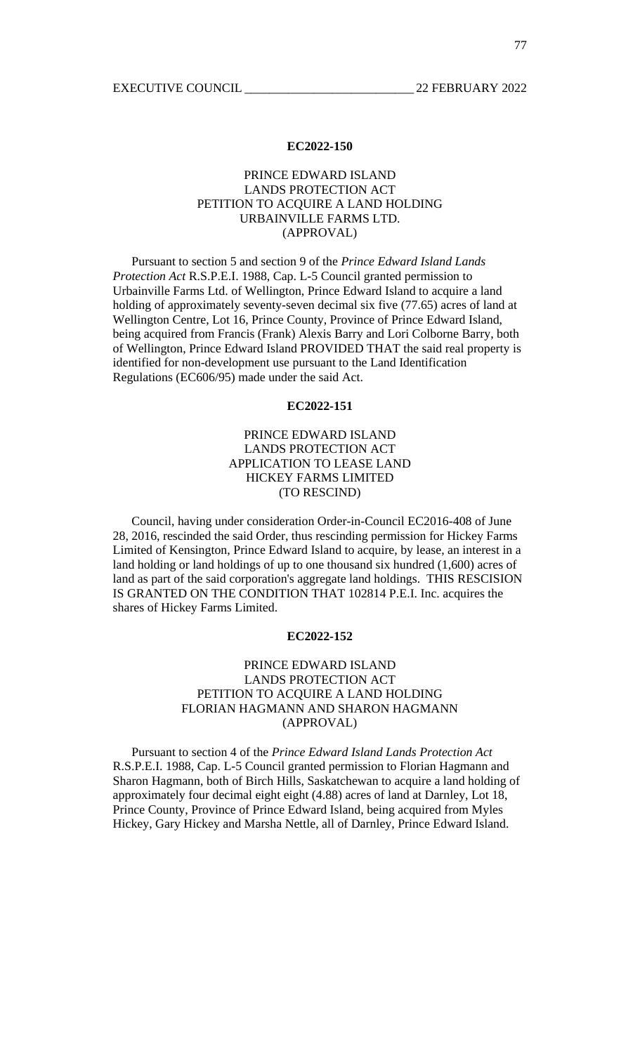## PRINCE EDWARD ISLAND LANDS PROTECTION ACT PETITION TO ACQUIRE A LAND HOLDING URBAINVILLE FARMS LTD. (APPROVAL)

 Pursuant to section 5 and section 9 of the *Prince Edward Island Lands Protection Act* R.S.P.E.I. 1988, Cap. L-5 Council granted permission to Urbainville Farms Ltd. of Wellington, Prince Edward Island to acquire a land holding of approximately seventy-seven decimal six five (77.65) acres of land at Wellington Centre, Lot 16, Prince County, Province of Prince Edward Island, being acquired from Francis (Frank) Alexis Barry and Lori Colborne Barry, both of Wellington, Prince Edward Island PROVIDED THAT the said real property is identified for non-development use pursuant to the Land Identification Regulations (EC606/95) made under the said Act.

#### **EC2022-151**

# PRINCE EDWARD ISLAND LANDS PROTECTION ACT APPLICATION TO LEASE LAND HICKEY FARMS LIMITED (TO RESCIND)

 Council, having under consideration Order-in-Council EC2016-408 of June 28, 2016, rescinded the said Order, thus rescinding permission for Hickey Farms Limited of Kensington, Prince Edward Island to acquire, by lease, an interest in a land holding or land holdings of up to one thousand six hundred (1,600) acres of land as part of the said corporation's aggregate land holdings. THIS RESCISION IS GRANTED ON THE CONDITION THAT 102814 P.E.I. Inc. acquires the shares of Hickey Farms Limited.

#### **EC2022-152**

#### PRINCE EDWARD ISLAND LANDS PROTECTION ACT PETITION TO ACQUIRE A LAND HOLDING FLORIAN HAGMANN AND SHARON HAGMANN (APPROVAL)

 Pursuant to section 4 of the *Prince Edward Island Lands Protection Act* R.S.P.E.I. 1988, Cap. L-5 Council granted permission to Florian Hagmann and Sharon Hagmann, both of Birch Hills, Saskatchewan to acquire a land holding of approximately four decimal eight eight (4.88) acres of land at Darnley, Lot 18, Prince County, Province of Prince Edward Island, being acquired from Myles Hickey, Gary Hickey and Marsha Nettle, all of Darnley, Prince Edward Island.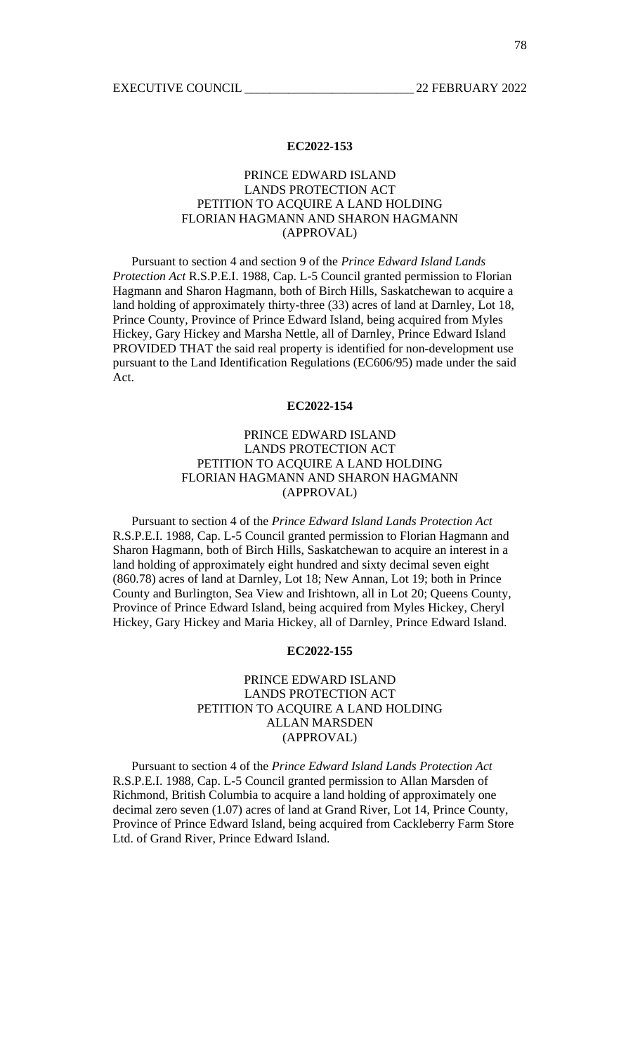## PRINCE EDWARD ISLAND LANDS PROTECTION ACT PETITION TO ACQUIRE A LAND HOLDING FLORIAN HAGMANN AND SHARON HAGMANN (APPROVAL)

 Pursuant to section 4 and section 9 of the *Prince Edward Island Lands Protection Act* R.S.P.E.I. 1988, Cap. L-5 Council granted permission to Florian Hagmann and Sharon Hagmann, both of Birch Hills, Saskatchewan to acquire a land holding of approximately thirty-three (33) acres of land at Darnley, Lot 18, Prince County, Province of Prince Edward Island, being acquired from Myles Hickey, Gary Hickey and Marsha Nettle, all of Darnley, Prince Edward Island PROVIDED THAT the said real property is identified for non-development use pursuant to the Land Identification Regulations (EC606/95) made under the said Act.

#### **EC2022-154**

# PRINCE EDWARD ISLAND LANDS PROTECTION ACT PETITION TO ACQUIRE A LAND HOLDING FLORIAN HAGMANN AND SHARON HAGMANN (APPROVAL)

 Pursuant to section 4 of the *Prince Edward Island Lands Protection Act* R.S.P.E.I. 1988, Cap. L-5 Council granted permission to Florian Hagmann and Sharon Hagmann, both of Birch Hills, Saskatchewan to acquire an interest in a land holding of approximately eight hundred and sixty decimal seven eight (860.78) acres of land at Darnley, Lot 18; New Annan, Lot 19; both in Prince County and Burlington, Sea View and Irishtown, all in Lot 20; Queens County, Province of Prince Edward Island, being acquired from Myles Hickey, Cheryl Hickey, Gary Hickey and Maria Hickey, all of Darnley, Prince Edward Island.

#### **EC2022-155**

# PRINCE EDWARD ISLAND LANDS PROTECTION ACT PETITION TO ACQUIRE A LAND HOLDING ALLAN MARSDEN (APPROVAL)

 Pursuant to section 4 of the *Prince Edward Island Lands Protection Act* R.S.P.E.I. 1988, Cap. L-5 Council granted permission to Allan Marsden of Richmond, British Columbia to acquire a land holding of approximately one decimal zero seven (1.07) acres of land at Grand River, Lot 14, Prince County, Province of Prince Edward Island, being acquired from Cackleberry Farm Store Ltd. of Grand River, Prince Edward Island.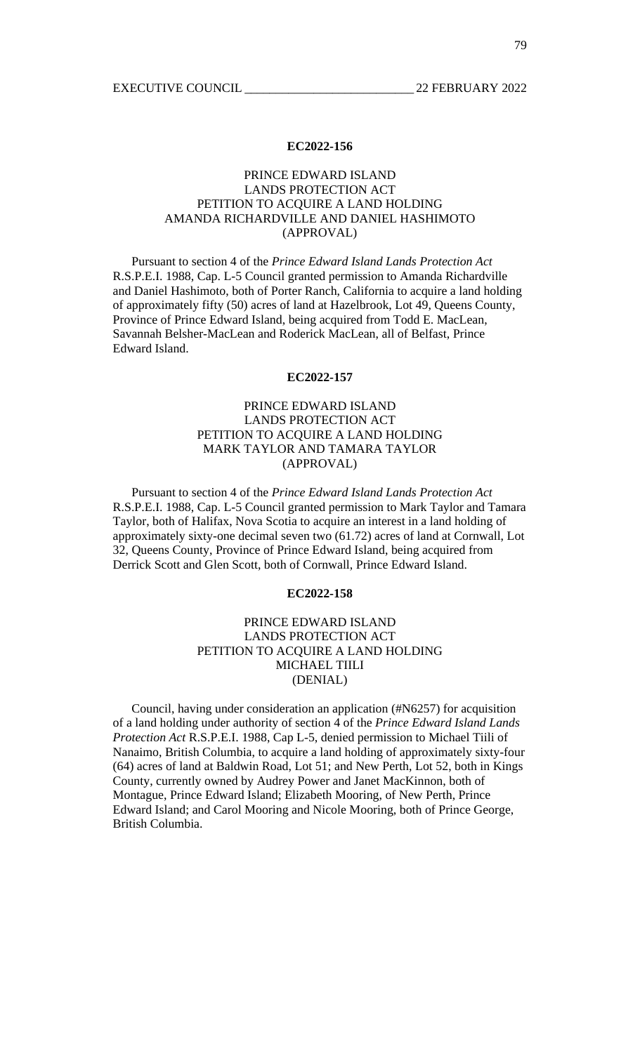# PRINCE EDWARD ISLAND LANDS PROTECTION ACT PETITION TO ACQUIRE A LAND HOLDING AMANDA RICHARDVILLE AND DANIEL HASHIMOTO (APPROVAL)

 Pursuant to section 4 of the *Prince Edward Island Lands Protection Act* R.S.P.E.I. 1988, Cap. L-5 Council granted permission to Amanda Richardville and Daniel Hashimoto, both of Porter Ranch, California to acquire a land holding of approximately fifty (50) acres of land at Hazelbrook, Lot 49, Queens County, Province of Prince Edward Island, being acquired from Todd E. MacLean, Savannah Belsher-MacLean and Roderick MacLean, all of Belfast, Prince Edward Island.

#### **EC2022-157**

# PRINCE EDWARD ISLAND LANDS PROTECTION ACT PETITION TO ACQUIRE A LAND HOLDING MARK TAYLOR AND TAMARA TAYLOR (APPROVAL)

 Pursuant to section 4 of the *Prince Edward Island Lands Protection Act* R.S.P.E.I. 1988, Cap. L-5 Council granted permission to Mark Taylor and Tamara Taylor, both of Halifax, Nova Scotia to acquire an interest in a land holding of approximately sixty-one decimal seven two (61.72) acres of land at Cornwall, Lot 32, Queens County, Province of Prince Edward Island, being acquired from Derrick Scott and Glen Scott, both of Cornwall, Prince Edward Island.

#### **EC2022-158**

## PRINCE EDWARD ISLAND LANDS PROTECTION ACT PETITION TO ACQUIRE A LAND HOLDING MICHAEL TIILI (DENIAL)

 Council, having under consideration an application (#N6257) for acquisition of a land holding under authority of section 4 of the *Prince Edward Island Lands Protection Act* R.S.P.E.I. 1988, Cap L-5, denied permission to Michael Tiili of Nanaimo, British Columbia, to acquire a land holding of approximately sixty-four (64) acres of land at Baldwin Road, Lot 51; and New Perth, Lot 52, both in Kings County, currently owned by Audrey Power and Janet MacKinnon, both of Montague, Prince Edward Island; Elizabeth Mooring, of New Perth, Prince Edward Island; and Carol Mooring and Nicole Mooring, both of Prince George, British Columbia.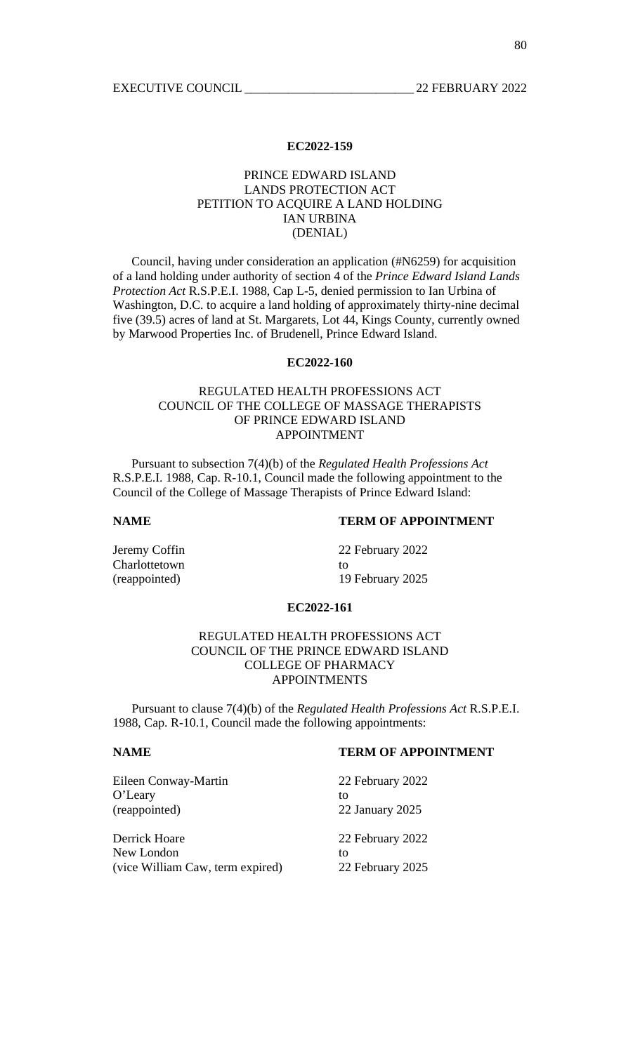## PRINCE EDWARD ISLAND LANDS PROTECTION ACT PETITION TO ACQUIRE A LAND HOLDING IAN URBINA (DENIAL)

 Council, having under consideration an application (#N6259) for acquisition of a land holding under authority of section 4 of the *Prince Edward Island Lands Protection Act* R.S.P.E.I. 1988, Cap L-5, denied permission to Ian Urbina of Washington, D.C. to acquire a land holding of approximately thirty-nine decimal five (39.5) acres of land at St. Margarets, Lot 44, Kings County, currently owned by Marwood Properties Inc. of Brudenell, Prince Edward Island.

## **EC2022-160**

# REGULATED HEALTH PROFESSIONS ACT COUNCIL OF THE COLLEGE OF MASSAGE THERAPISTS OF PRINCE EDWARD ISLAND APPOINTMENT

 Pursuant to subsection 7(4)(b) of the *Regulated Health Professions Act* R.S.P.E.I. 1988, Cap. R-10.1, Council made the following appointment to the Council of the College of Massage Therapists of Prince Edward Island:

## **NAME TERM OF APPOINTMENT**

Charlottetown to to the contract of the contract of the contract of the contract of the contract of the contract of the contract of the contract of the contract of the contract of the contract of the contract of the contra

Jeremy Coffin 22 February 2022 (reappointed) 19 February 2025

#### **EC2022-161**

# REGULATED HEALTH PROFESSIONS ACT COUNCIL OF THE PRINCE EDWARD ISLAND COLLEGE OF PHARMACY APPOINTMENTS

 Pursuant to clause 7(4)(b) of the *Regulated Health Professions Act* R.S.P.E.I. 1988, Cap. R-10.1, Council made the following appointments:

#### **NAME TERM OF APPOINTMENT**

| Eileen Conway-Martin             | 22 February 2022 |
|----------------------------------|------------------|
| O'Leary                          | tΩ               |
| (reappointed)                    | 22 January 2025  |
| Derrick Hoare                    | 22 February 2022 |
| New London                       | tΩ               |
| (vice William Caw, term expired) | 22 February 2025 |